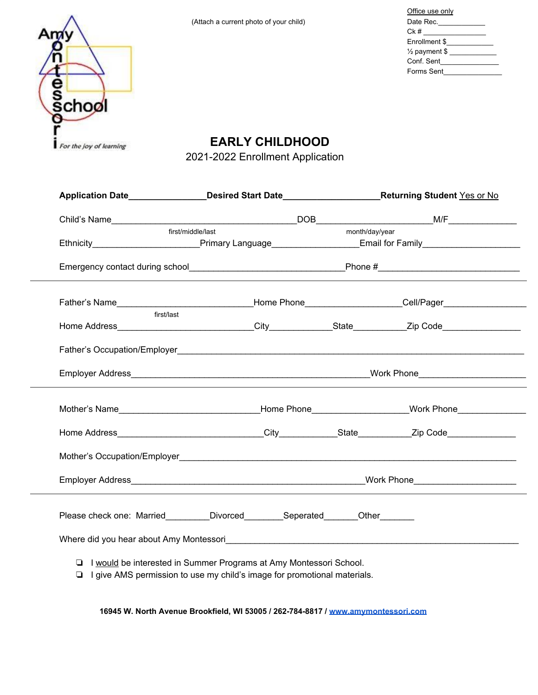| Office use only          |  |
|--------------------------|--|
| Date Rec.____________    |  |
| Ck #                     |  |
| Enrollment \$            |  |
| $\frac{1}{2}$ payment \$ |  |
| Conf. Sent               |  |
| Forms Sent               |  |



**EARLY CHILDHOOD**

2021-2022 Enrollment Application

| Application Date <b>Application Date Application Date <b>Application</b> Date <b>Application</b> Date <b>Application</b> Date <b>Application</b> Date <b>Application</b> Date <b>Application</b> Date <b>Application</b> Date <b>Application</b> Date <b>Application</b> Da</b> |                                                                                                                                                         |                |  |
|---------------------------------------------------------------------------------------------------------------------------------------------------------------------------------------------------------------------------------------------------------------------------------|---------------------------------------------------------------------------------------------------------------------------------------------------------|----------------|--|
|                                                                                                                                                                                                                                                                                 |                                                                                                                                                         |                |  |
|                                                                                                                                                                                                                                                                                 | first/middle/last                                                                                                                                       | month/day/year |  |
| Ethnicity____________________________Primary Language_____________________Email for Family____________________                                                                                                                                                                  |                                                                                                                                                         |                |  |
|                                                                                                                                                                                                                                                                                 |                                                                                                                                                         |                |  |
|                                                                                                                                                                                                                                                                                 |                                                                                                                                                         |                |  |
| first/last                                                                                                                                                                                                                                                                      |                                                                                                                                                         |                |  |
|                                                                                                                                                                                                                                                                                 |                                                                                                                                                         |                |  |
|                                                                                                                                                                                                                                                                                 |                                                                                                                                                         |                |  |
| Mother's Name________________________________Home Phone_____________________Work Phone______________                                                                                                                                                                            |                                                                                                                                                         |                |  |
|                                                                                                                                                                                                                                                                                 |                                                                                                                                                         |                |  |
|                                                                                                                                                                                                                                                                                 |                                                                                                                                                         |                |  |
|                                                                                                                                                                                                                                                                                 |                                                                                                                                                         |                |  |
| Please check one: Married_________Divorced__________Seperated________Other_______                                                                                                                                                                                               |                                                                                                                                                         |                |  |
|                                                                                                                                                                                                                                                                                 |                                                                                                                                                         |                |  |
|                                                                                                                                                                                                                                                                                 | □ I would be interested in Summer Programs at Amy Montessori School.<br>$\Box$ I give AMS permission to use my child's image for promotional materials. |                |  |

 **16945 W. North Avenue Brookfield, WI 53005 / 262-784-8817 / [www.amymontessori.com](http://www.amymontessori.com/)**